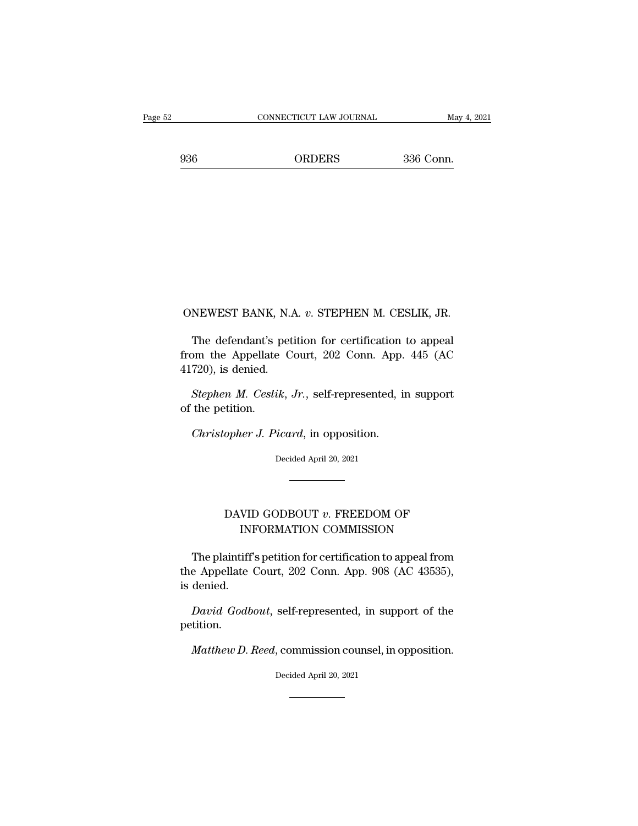## ONEWEST BANK, N.A. *<sup>v</sup>*. STEPHEN M. CESLIK, JR.

NEWEST BANK, N.A. v. STEPHEN M. CESLIK, JR.<br>The defendant's petition for certification to appeal<br>pm the Appellate Court, 202 Conn. App. 445 (AC ONEWEST BANK, N.A. v. STEPHEN M. CESLIK, JR.<br>The defendant's petition for certification to appeal<br>from the Appellate Court, 202 Conn. App. 445 (AC<br>41720), is denied. ONEWEST BANK, N.A.<br>The defendant's pet<br>from the Appellate C<br>41720), is denied.<br>Stephen M. Ceslik. *NEWEST BANK, N.A. v. STEPHEN M. CESLIK, JR.*<br>*The defendant's petition for certification to appeal* om the Appellate Court, 202 Conn. App. 445 (AC 720), is denied.<br>*Stephen M. Ceslik, Jr., self-represented, in support* th The defendant's prom the Appellate<br>41720), is denied.<br>*Stephen M. Ceslil*<br>of the petition.<br>*Christonher J. Pi. Christopher J. Picard, in opposition.*<br> *Christopher J. Picard, in opposition.*<br> *Christopher J. Picard, in opposition.*<br> *Christopher J. Picard, in opposition.*<br> *Decided April 20, 2021* 

Stephen M. Ceslik, Jr., self-represented, in support<br>
The petition.<br>
Christopher J. Picard, in opposition.<br>
Decided April 20, 2021

#### opher J. Picard, in opposition.<br>Decided April 20, 2021<br>DAVID GODBOUT *v*. FREEDOM OF INFORMATION COMMISSION INFORMATION COMMISSION

DAVID GODBOUT v. FREEDOM OF<br>INFORMATION COMMISSION<br>The plaintiff's petition for certification to appeal from<br>e Appellate Court, 202 Conn. App. 908 (AC 43535),  $\begin{minipage}[c]{0.9\textwidth} \begin{tabular}{p{0.8cm}p{0.8cm}p{0.8cm}} \textbf{DAVID GODBOUT}\ v. \textit{FREEDOM OF} \end{tabular} \end{minipage} \begin{minipage}[c]{0.9\textwidth} \begin{tabular}{p{0.8cm}p{0.8cm}} \textbf{NFORMATION COMMISSION} \end{tabular} \end{minipage} \begin{minipage}[c]{0.9\textwidth} \begin{tabular}[c]{p{0.8cm}p{0.8cm}} \textbf{MFDSION} \end{tabular} \end{minipage} \begin{minipage}[c]{0.9\textwidth} \begin{tab$ DAVII<br>INI<br>The plaintiff<br>the Appellate<br>is denied.<br>David Godb INFORMATION COMMISSION<br>The plaintiff's petition for certification to appeal from<br>e Appellate Court, 202 Conn. App. 908 (AC 43535),<br>denied.<br>David Godbout, self-represented, in support of the<br>tition. e Appellate Court, 202 Conn. App. 908 (AC 43535),<br>denied.<br>*David Godbout*, self-represented, in support of the<br>tition.<br>*Matthew D. Reed*, commission counsel, in opposition.<br>Decided April 20, 2021

petition. David Godbout, self-represented, in support of the<br>etition.<br>Matthew D. Reed, commission counsel, in opposition.<br>Decided April 20, 2021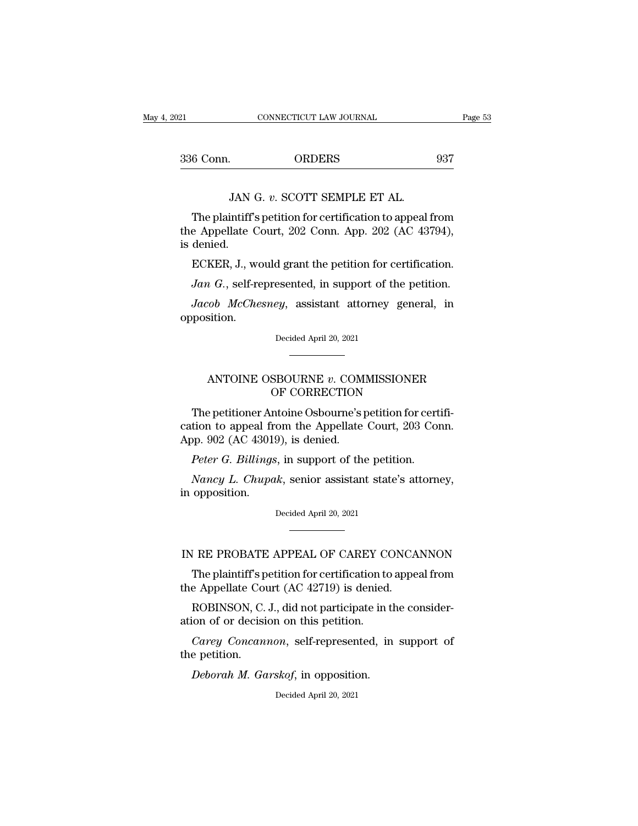| 121       | CONNECTICUT LAW JOURNAL                                   | Page 53 |
|-----------|-----------------------------------------------------------|---------|
| 336 Conn. | <b>ORDERS</b>                                             | 937     |
|           | JAN G. v. SCOTT SEMPLE ET AL.                             |         |
|           | The plaintiff's petition for certification to appeal from |         |

6 Conn. ORDERS 937<br>JAN G. v. SCOTT SEMPLE ET AL.<br>The plaintiff's petition for certification to appeal from<br>e Appellate Court, 202 Conn. App. 202 (AC 43794), 336 Conn. ORDERS 937<br>JAN G. v. SCOTT SEMPLE ET AL.<br>The plaintiff's petition for certification to appeal from<br>the Appellate Court, 202 Conn. App. 202 (AC 43794),<br>is denied. 336 Conn.<br>JAN<br>The plaintiff<br>the Appellate<br>is denied.<br>ECKER, J., v JAN G. v. SCOTT SEMPLE ET AL.<br>The plaintiff's petition for certification to appeal from<br>e Appellate Court, 202 Conn. App. 202 (AC 43794),<br>denied.<br>ECKER, J., would grant the petition for certification.<br>Jan G., self-represen *JAN G. V. SCOTT SEMPLE ET AL.*<br>The plaintiff's petition for certification to appeal from<br>e Appellate Court, 202 Conn. App. 202 (AC 43794),<br>denied.<br>*ECKER*, J., would grant the petition for certification.<br>*Jan G.*, self-re Ine plaintin s petition for certification to appear from<br> *e* Appellate Court, 202 Conn. App. 202 (AC 43794),<br>
denied.<br> *ECKER*, J., would grant the petition for certification.<br> *Jan G.*, self-represented, in support of th

opposition. *Jan G.*, self-represented, in support of the petition.<br>*Jacob McChesney*, assistant attorney general, in pposition.<br>Decided April 20, 2021 ANTOINE OSBOURNE *<sup>v</sup>*. COMMISSIONER

## Decided April 20, 2021<br>
Decided April 20, 2021<br>
SBOURNE v. COMMISSIONER<br>
OF CORRECTION<br>
ntoine Osbourne's petition for cer

Decided April 20, 2021<br>
The petitioner OSBOURNE v. COMMISSIONER<br>
The petitioner Antoine Osbourne's petition for certifi-<br>
tion to appeal from the Appellate Court, 203 Conn.<br>
No. 202 (AC 43019) is dopied ANTOINE OSBOURNE v. COMMISSIONER<br>
OF CORRECTION<br>
The petitioner Antoine Osbourne's petition for certification to appeal from the Appellate Court, 203 Conn.<br>
App. 902 (AC 43019), is denied. ANTOINE OSBOURNE v. COM<br>OF CORRECTION<br>The petitioner Antoine Osbourne's praction to appeal from the Appellate<br>App. 902 (AC 43019), is denied.<br>Peter G. Billings, in support of the *ANTOINE OSBOURNE v. COMMISSIONER*<br> *OF CORRECTION*<br> *Peter G. Billings, in support of the petition for cert*<br> *Peter G. Billings, in support of the petition.*<br> *Peter G. Billings, in support of the petition.*<br> *Nancy L. C Nancy D. CORRECTION*<br>The petitioner Antoine Osbourne's petition for certifi-<br>tion to appeal from the Appellate Court, 203 Conn.<br>pp. 902 (AC 43019), is denied.<br>*Peter G. Billings*, in support of the petition.<br>*Nancy L. Chu* The petitioner Arcation to appeal fr<br>App. 902 (AC 43019)<br>Peter G. Billings<br>Nancy L. Chupa<br>in opposition.

Peter G. Billings, in support of the petition.<br>
Nancy L. Chupak, senior assistant state's attorney,<br>
opposition.<br>
Decided April 20, 2021 Nancy L. Chupak, senior assistant state's attorney,<br>in opposition.<br>Decided April 20, 2021<br>IN RE PROBATE APPEAL OF CAREY CONCANNON<br>The plaintiff's petition for certification to appeal from

opposition.<br>Decided April 20, 2021<br>The plaintiff's petition for certification to appeal from<br>a Appellate Court (AC 42719) is denied. the Appellate Court (AC 42719) is denied. RE PROBATE APPEAL OF CAREY CONCANNON<br>The plaintiff's petition for certification to appeal from<br>e Appellate Court (AC 42719) is denied.<br>ROBINSON, C. J., did not participate in the consider-<br>ion of or decision on this petiti IN RE PROBATE APPEAL OF CAREY CONTREPT THE plaintiff's petition for certification to the Appellate Court (AC 42719) is denied ROBINSON, C. J., did not participate in ation of or decision on this petition.<br>Carey Concannon, *CARET CONCANNON*<br>The plaintiff's petition for certification to appeal from<br>e Appellate Court (AC 42719) is denied.<br>ROBINSON, C. J., did not participate in the consider-<br>ion of or decision on this petition.<br>Carey Concannon The plaintiff's p<br>the Appellate Cou<br>ROBINSON, C.<br>ation of or decisi<br>*Carey Concan*<br>the petition.<br>*Deborah M. Ga* 

*Physical Court (AC 42719)* is defined.<br> *ROBINSON, C. J., did not participate in this of or decision on this petition.*<br> *Carey Concannon, self-represented, in e petition.*<br> *Deborah M. Garskof, in opposition.*<br>
Decided A

Carey Concannon, self-represented, in support of<br>e petition.<br>Deborah M. Garskof, in opposition.<br>Decided April 20, 2021